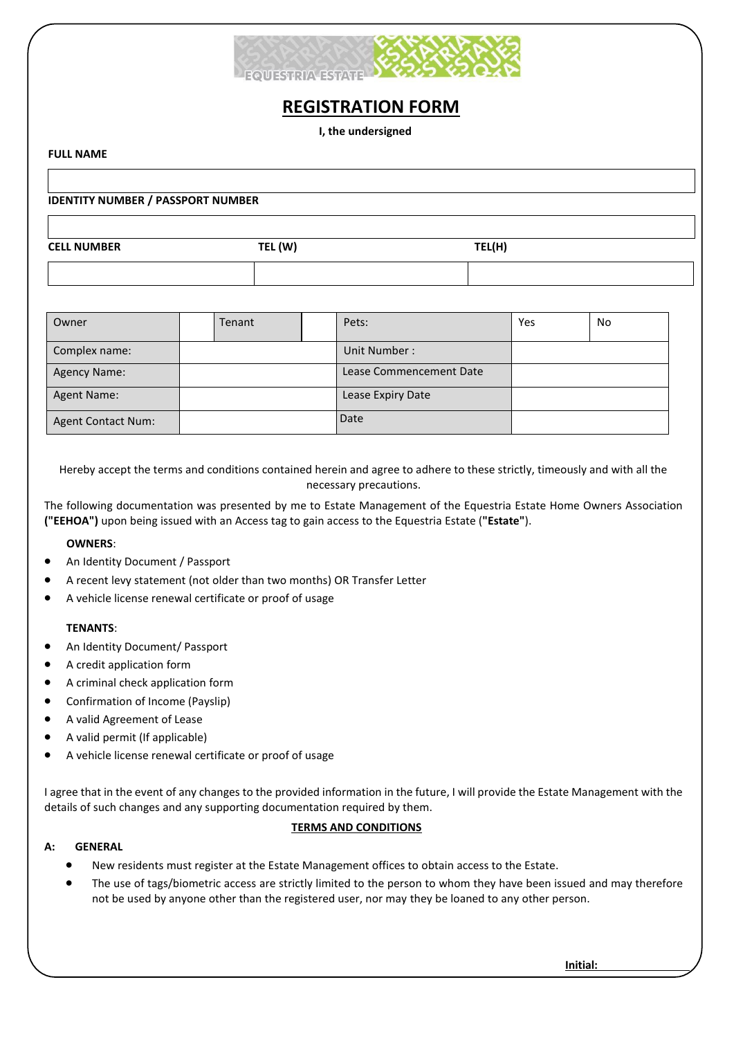

# **REGISTRATION FORM**

**I, the undersigned**

## **FULL NAME**

#### **IDENTITY NUMBER / PASSPORT NUMBER**

| <b>CELL NUMBER</b> | TEL (W) | TEL(H) |
|--------------------|---------|--------|
|                    |         |        |

| Owner               | Tenant | Pets:                   | Yes | No |
|---------------------|--------|-------------------------|-----|----|
| Complex name:       |        | Unit Number:            |     |    |
| <b>Agency Name:</b> |        | Lease Commencement Date |     |    |
| <b>Agent Name:</b>  |        | Lease Expiry Date       |     |    |
| Agent Contact Num:  |        | Date                    |     |    |

Hereby accept the terms and conditions contained herein and agree to adhere to these strictly, timeously and with all the necessary precautions.

The following documentation was presented by me to Estate Management of the Equestria Estate Home Owners Association **("EEHOA")** upon being issued with an Access tag to gain access to the Equestria Estate (**"Estate"**).

#### **OWNERS**:

- An Identity Document / Passport
- A recent levy statement (not older than two months) OR Transfer Letter
- A vehicle license renewal certificate or proof of usage

#### **TENANTS**:

- An Identity Document/ Passport
- A credit application form
- A criminal check application form
- Confirmation of Income (Payslip)
- A valid Agreement of Lease
- A valid permit (If applicable)
- A vehicle license renewal certificate or proof of usage

I agree that in the event of any changes to the provided information in the future, I will provide the Estate Management with the details of such changes and any supporting documentation required by them.

#### **TERMS AND CONDITIONS**

#### **A: GENERAL**

- New residents must register at the Estate Management offices to obtain access to the Estate.
- The use of tags/biometric access are strictly limited to the person to whom they have been issued and may therefore not be used by anyone other than the registered user, nor may they be loaned to any other person.

**Initial:**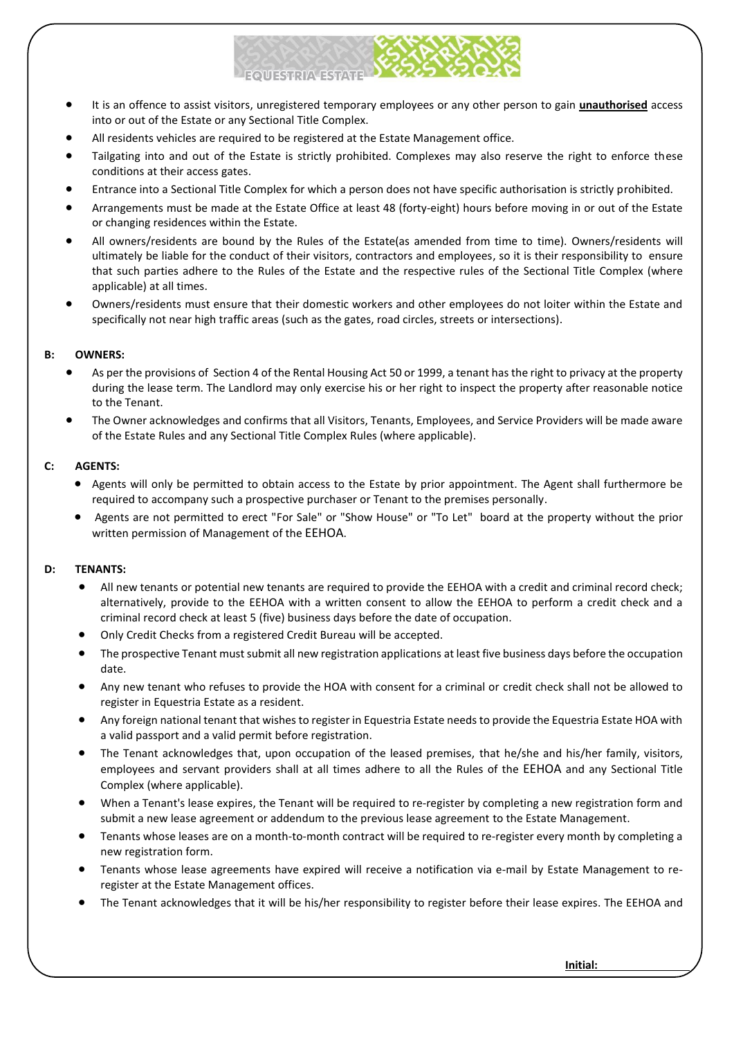- It is an offence to assist visitors, unregistered temporary employees or any other person to gain **unauthorised** access into or out of the Estate or any Sectional Title Complex.
- All residents vehicles are required to be registered at the Estate Management office.

**EQUESTRIA ESTATE JACKS** 

- Tailgating into and out of the Estate is strictly prohibited. Complexes may also reserve the right to enforce these conditions at their access gates.
- Entrance into a Sectional Title Complex for which a person does not have specific authorisation is strictly prohibited.
- Arrangements must be made at the Estate Office at least 48 (forty-eight) hours before moving in or out of the Estate or changing residences within the Estate.
- All owners/residents are bound by the Rules of the Estate(as amended from time to time). Owners/residents will ultimately be liable for the conduct of their visitors, contractors and employees, so it is their responsibility to ensure that such parties adhere to the Rules of the Estate and the respective rules of the Sectional Title Complex (where applicable) at all times.
- Owners/residents must ensure that their domestic workers and other employees do not loiter within the Estate and specifically not near high traffic areas (such as the gates, road circles, streets or intersections).

#### **B: OWNERS:**

- As per the provisions of Section 4 of the Rental Housing Act 50 or 1999, a tenant has the right to privacy at the property during the lease term. The Landlord may only exercise his or her right to inspect the property after reasonable notice to the Tenant.
- The Owner acknowledges and confirms that all Visitors, Tenants, Employees, and Service Providers will be made aware of the Estate Rules and any Sectional Title Complex Rules (where applicable).

#### **C: AGENTS:**

- Agents will only be permitted to obtain access to the Estate by prior appointment. The Agent shall furthermore be required to accompany such a prospective purchaser or Tenant to the premises personally.
- Agents are not permitted to erect "For Sale" or "Show House" or "To Let" board at the property without the prior written permission of Management of the EEHOA.

#### **D: TENANTS:**

- All new tenants or potential new tenants are required to provide the EEHOA with a credit and criminal record check; alternatively, provide to the EEHOA with a written consent to allow the EEHOA to perform a credit check and a criminal record check at least 5 (five) business days before the date of occupation.
- Only Credit Checks from a registered Credit Bureau will be accepted.
- The prospective Tenant must submit all new registration applications at least five business days before the occupation date.
- Any new tenant who refuses to provide the HOA with consent for a criminal or credit check shall not be allowed to register in Equestria Estate as a resident.
- Any foreign national tenant that wishes to register in Equestria Estate needs to provide the Equestria Estate HOA with a valid passport and a valid permit before registration.
- The Tenant acknowledges that, upon occupation of the leased premises, that he/she and his/her family, visitors, employees and servant providers shall at all times adhere to all the Rules of the EEHOA and any Sectional Title Complex (where applicable).
- When a Tenant's lease expires, the Tenant will be required to re-register by completing a new registration form and submit a new lease agreement or addendum to the previous lease agreement to the Estate Management.
- Tenants whose leases are on a month-to-month contract will be required to re-register every month by completing a new registration form.
- Tenants whose lease agreements have expired will receive a notification via e-mail by Estate Management to reregister at the Estate Management offices.
- The Tenant acknowledges that it will be his/her responsibility to register before their lease expires. The EEHOA and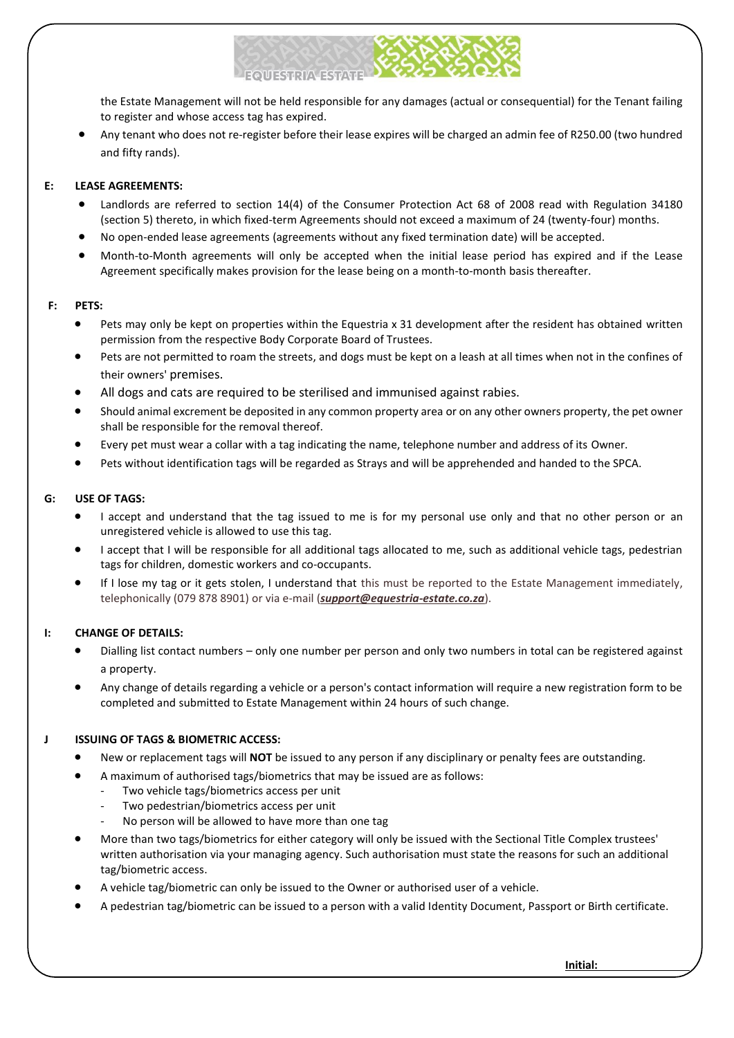the Estate Management will not be held responsible for any damages (actual or consequential) for the Tenant failing to register and whose access tag has expired.

• Any tenant who does not re-register before their lease expires will be charged an admin fee of R250.00 (two hundred and fifty rands).

# **E: LEASE AGREEMENTS:**

- Landlords are referred to section 14(4) of the Consumer Protection Act 68 of 2008 read with Regulation 34180 (section 5) thereto, in which fixed-term Agreements should not exceed a maximum of 24 (twenty-four) months.
- No open-ended lease agreements (agreements without any fixed termination date) will be accepted.

**REQUESTRIA ESTATE JACKS** 

• Month-to-Month agreements will only be accepted when the initial lease period has expired and if the Lease Agreement specifically makes provision for the lease being on a month-to-month basis thereafter.

#### **F: PETS:**

- Pets may only be kept on properties within the Equestria x 31 development after the resident has obtained written permission from the respective Body Corporate Board of Trustees.
- Pets are not permitted to roam the streets, and dogs must be kept on a leash at all times when not in the confines of their owners' premises.
- All dogs and cats are required to be sterilised and immunised against rabies.
- Should animal excrement be deposited in any common property area or on any other owners property, the pet owner shall be responsible for the removal thereof.
- Every pet must wear a collar with a tag indicating the name, telephone number and address of its Owner.
- Pets without identification tags will be regarded as Strays and will be apprehended and handed to the SPCA.

#### **G: USE OF TAGS:**

- I accept and understand that the tag issued to me is for my personal use only and that no other person or an unregistered vehicle is allowed to use this tag.
- I accept that I will be responsible for all additional tags allocated to me, such as additional vehicle tags, pedestrian tags for children, domestic workers and co-occupants.
- If I lose my tag or it gets stolen, I understand that this must be reported to the Estate Management immediately, telephonically (079 878 8901) or via e-mail (*[support@equestria-estate.co.za](mailto:support@equestria-estate.co.za)*).

#### **I: CHANGE OF DETAILS:**

- Dialling list contact numbers only one number per person and only two numbers in total can be registered against a property.
- Any change of details regarding a vehicle or a person's contact information will require a new registration form to be completed and submitted to Estate Management within 24 hours of such change.

# **J ISSUING OF TAGS & BIOMETRIC ACCESS:**

- New or replacement tags will **NOT** be issued to any person if any disciplinary or penalty fees are outstanding.
- A maximum of authorised tags/biometrics that may be issued are as follows:
	- Two vehicle tags/biometrics access per unit
	- Two pedestrian/biometrics access per unit
	- No person will be allowed to have more than one tag
- More than two tags/biometrics for either category will only be issued with the Sectional Title Complex trustees' written authorisation via your managing agency. Such authorisation must state the reasons for such an additional tag/biometric access.
- A vehicle tag/biometric can only be issued to the Owner or authorised user of a vehicle.
- A pedestrian tag/biometric can be issued to a person with a valid Identity Document, Passport or Birth certificate.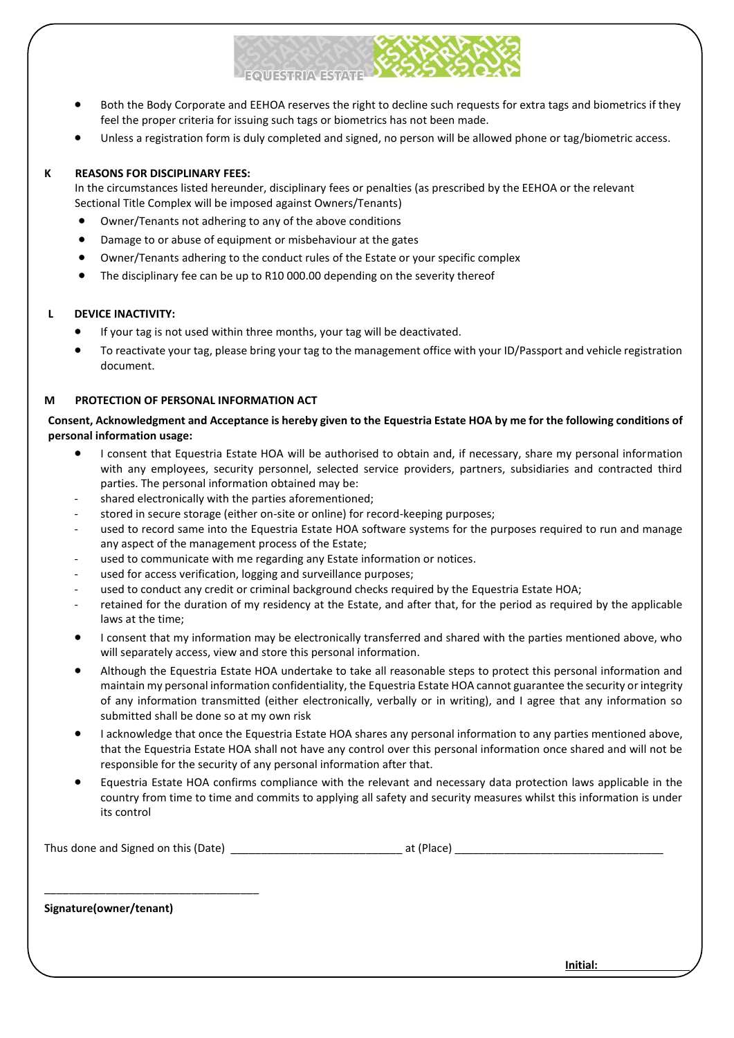- Both the Body Corporate and EEHOA reserves the right to decline such requests for extra tags and biometrics if they feel the proper criteria for issuing such tags or biometrics has not been made.
- Unless a registration form is duly completed and signed, no person will be allowed phone or tag/biometric access.

#### **K REASONS FOR DISCIPLINARY FEES:**

In the circumstances listed hereunder, disciplinary fees or penalties (as prescribed by the EEHOA or the relevant Sectional Title Complex will be imposed against Owners/Tenants)

**EQUESTRIA ESTATE SUCCES** 

- Owner/Tenants not adhering to any of the above conditions
- Damage to or abuse of equipment or misbehaviour at the gates
- Owner/Tenants adhering to the conduct rules of the Estate or your specific complex
- The disciplinary fee can be up to R10 000.00 depending on the severity thereof

#### **L DEVICE INACTIVITY:**

- If your tag is not used within three months, your tag will be deactivated.
- To reactivate your tag, please bring your tag to the management office with your ID/Passport and vehicle registration document.

### **M PROTECTION OF PERSONAL INFORMATION ACT**

## **Consent, Acknowledgment and Acceptance is hereby given to the Equestria Estate HOA by me for the following conditions of personal information usage:**

- I consent that Equestria Estate HOA will be authorised to obtain and, if necessary, share my personal information with any employees, security personnel, selected service providers, partners, subsidiaries and contracted third parties. The personal information obtained may be:
- shared electronically with the parties aforementioned;
- stored in secure storage (either on-site or online) for record-keeping purposes;
- used to record same into the Equestria Estate HOA software systems for the purposes required to run and manage any aspect of the management process of the Estate;
- used to communicate with me regarding any Estate information or notices.
- used for access verification, logging and surveillance purposes;
- used to conduct any credit or criminal background checks required by the Equestria Estate HOA;
- retained for the duration of my residency at the Estate, and after that, for the period as required by the applicable laws at the time;
- I consent that my information may be electronically transferred and shared with the parties mentioned above, who will separately access, view and store this personal information.
- Although the Equestria Estate HOA undertake to take all reasonable steps to protect this personal information and maintain my personal information confidentiality, the Equestria Estate HOA cannot guarantee the security or integrity of any information transmitted (either electronically, verbally or in writing), and I agree that any information so submitted shall be done so at my own risk
- I acknowledge that once the Equestria Estate HOA shares any personal information to any parties mentioned above, that the Equestria Estate HOA shall not have any control over this personal information once shared and will not be responsible for the security of any personal information after that.
- Equestria Estate HOA confirms compliance with the relevant and necessary data protection laws applicable in the country from time to time and commits to applying all safety and security measures whilst this information is under its control

Thus done and Signed on this (Date) \_\_\_\_\_\_\_\_\_\_\_\_\_\_\_\_\_\_\_\_\_\_\_\_\_\_\_\_ at (Place) \_\_\_\_\_\_\_\_\_\_\_\_\_\_\_\_\_\_\_\_\_\_\_\_\_\_\_\_\_\_\_\_\_\_

**Signature(owner/tenant)**

\_\_\_\_\_\_\_\_\_\_\_\_\_\_\_\_\_\_\_\_\_\_\_\_\_\_\_\_\_\_\_\_\_\_\_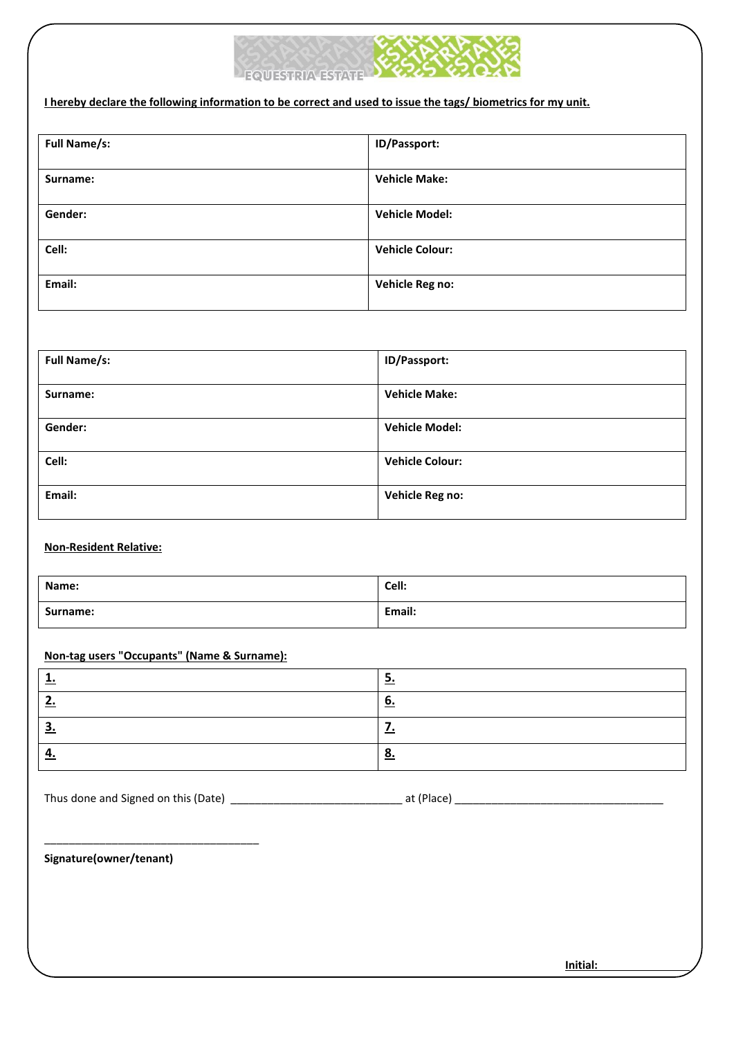

# **I hereby declare the following information to be correct and used to issue the tags/ biometrics for my unit.**

| <b>Full Name/s:</b> | ID/Passport:           |
|---------------------|------------------------|
| Surname:            | <b>Vehicle Make:</b>   |
| Gender:             | <b>Vehicle Model:</b>  |
| Cell:               | <b>Vehicle Colour:</b> |
| Email:              | Vehicle Reg no:        |

| <b>Full Name/s:</b> | ID/Passport:           |
|---------------------|------------------------|
| Surname:            | <b>Vehicle Make:</b>   |
| Gender:             | <b>Vehicle Model:</b>  |
| Cell:               | <b>Vehicle Colour:</b> |
| Email:              | Vehicle Reg no:        |

# **Non-Resident Relative:**

| Name:    | Cell:  |
|----------|--------|
| Surname: | Email: |

# **Non-tag users "Occupants" (Name & Surname):**

|    | <u>.</u>  |
|----|-----------|
|    | <u>o.</u> |
| J. |           |
| −. | <u>o.</u> |

Thus done and Signed on this (Date) \_\_\_\_\_\_\_\_\_\_\_\_\_\_\_\_\_\_\_\_\_\_\_\_\_\_\_\_ at (Place) \_\_\_\_\_\_\_\_\_\_\_\_\_\_\_\_\_\_\_\_\_\_\_\_\_\_\_\_\_\_\_\_\_\_

\_\_\_\_\_\_\_\_\_\_\_\_\_\_\_\_\_\_\_\_\_\_\_\_\_\_\_\_\_\_\_\_\_\_\_

**Signature(owner/tenant)**